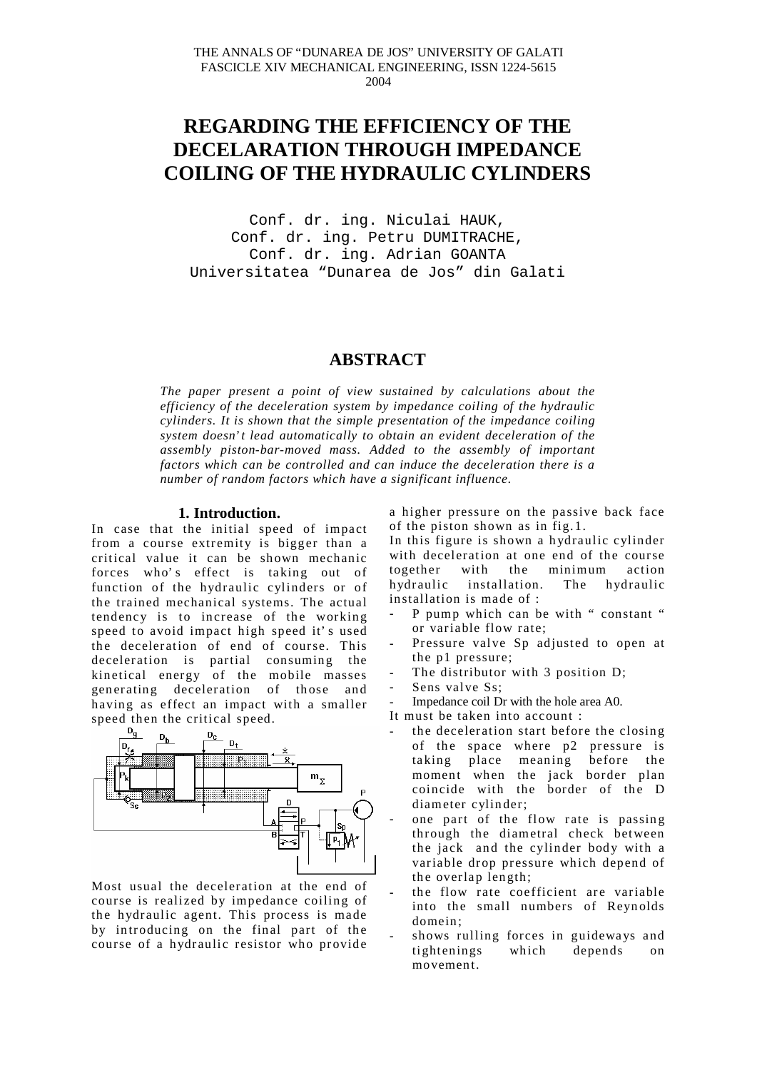# **REGARDING THE EFFICIENCY OF THE DECELARATION THROUGH IMPEDANCE COILING OF THE HYDRAULIC CYLINDERS**

Conf. dr. ing. Niculai HAUK, Conf. dr. ing. Petru DUMITRACHE, Conf. dr. ing. Adrian GOANTA Universitatea "Dunarea de Jos" din Galati

## **ABSTRACT**

*The paper present a point of view sustained by calculations about the efficiency of the deceleration system by impedance coiling of the hydraulic cylinders. It is shown that the simple presentation of the impedance coiling system doesn' t lead automatically to obtain an evident deceleration of the assembly piston-bar-moved mass. Added to the assembly of important factors which can be controlled and can induce the deceleration there is a number of random factors which have a significant influence.*

## **1. Introduction.**

In case that the initial speed of impact from a course extremity is bigger than a critical value it can be shown mechanic forces who' s effect is taking out of function of the hydraulic cylinders or of the trained mechanical systems. The actual tendency is to increase of the working speed to avoid impact high speed it' s used the deceleration of end of course. This deceleration is partial consuming the kinetical energy of the mobile masses generating deceleration of those and having as effect an impact with a smaller



Most usual the deceleration at the end of course is realized by impedance coiling of the hydraulic agent. This process is made by introducing on the final part of the course of a hydraulic resistor who provide

a higher pressure on the passive back face of the piston shown as in fig.1.

In this figure is shown a hydraulic cylinder with deceleration at one end of the course together with the minimum action hydraulic installation. The hydraulic installation is made of :

- P pump which can be with " constant " or variable flow rate;
- Pressure valve Sp adjusted to open at the p1 pressure;
- The distributor with 3 position D;
- Sens valve Ss;
- Impedance coil Dr with the hole area A0.
- It must be taken into account :
- the deceleration start before the closing of the space where p2 pressure is taking place meaning before the moment when the jack border plan coincide with the border of the D diameter cylinder;
- one part of the flow rate is passing through the diametral check between the jack and the cylinder body with a variable drop pressure which depend of the overlap length;
- the flow rate coefficient are variable into the small numbers of Reynolds domein;
- shows rulling forces in guideways and tightenings which depends on movement.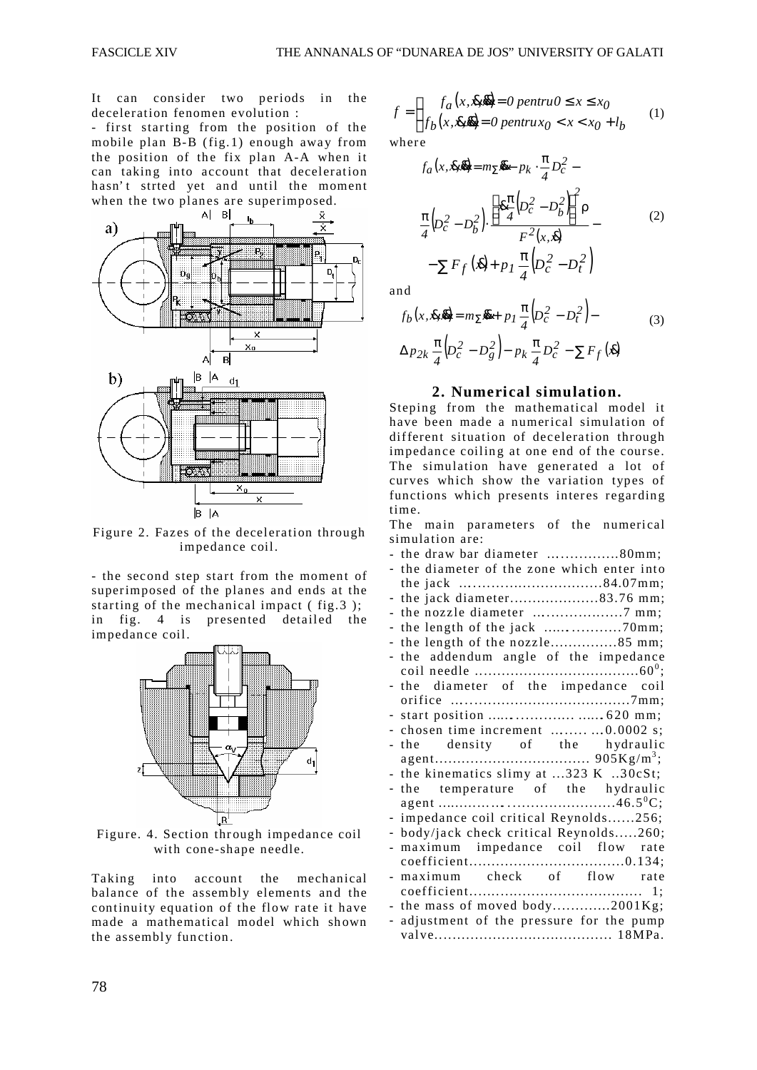It can consider two periods in the deceleration fenomen evolution :

- first starting from the position of the mobile plan B-B (fig.1) enough away from the position of the fix plan A-A when it can taking into account that deceleration hasn't strted yet and until the moment when the two planes are superimposed.



Figure 2. Fazes of the deceleration through impedance coil.

- the second step start from the moment of superimposed of the planes and ends at the starting of the mechanical impact ( fig.3 ); in fig. 4 is presented detailed the impedance coil.



Figure. 4. Section through impedance coil with cone-shape needle.

Taking into account the mechanical balance of the assembly elements and the continuity equation of the flow rate it have made a mathematical model which shown the assembly function.

$$
f = \begin{cases} f_a(x, \bar{x}, \bar{y}) = 0 \text{ pentru } 0 \le x \le x_0 \\ f_b(x, \bar{x}, \bar{y}) = 0 \text{ pentru } x_0 < x < x_0 + l_b \end{cases} \tag{1}
$$

where

$$
f_a(x, \bar{x}, \bar{y}) = m_{\Sigma} \bar{x} - p_k \cdot \frac{\pi}{4} D_c^2 -
$$
  

$$
\frac{\pi}{4} (D_c^2 - D_b^2) \cdot \frac{\left[\bar{x} \frac{\pi}{4} (D_c^2 - D_b^2)\right]^2 \rho}{F^2(x, \bar{x})} -
$$
  

$$
-\sum F_f(\bar{x}) + p_I \frac{\pi}{4} (D_c^2 - D_t^2)
$$
 (2)

and

$$
f_b(x, \bar{x}, \bar{y}) = m_{\Sigma} \bar{y} + p_I \frac{\pi}{4} \left( D_c^2 - D_t^2 \right) -
$$
  
 
$$
\Delta p_{2k} \frac{\pi}{4} \left( D_c^2 - D_g^2 \right) - p_k \frac{\pi}{4} D_c^2 - \sum F_f(\bar{x})
$$
 (3)

## **2. Numerical simulation.**

Steping from the mathematical model it have been made a numerical simulation of different situation of deceleration through impedance coiling at one end of the course. The simulation have generated a lot of curves which show the variation types of functions which presents interes regarding time.

The main parameters of the numerical simulation are:

| - the draw bar diameter 80mm;                               |
|-------------------------------------------------------------|
| - the diameter of the zone which enter into                 |
|                                                             |
| - the jack diameter83.76 mm;                                |
|                                                             |
|                                                             |
| - the length of the nozzle85 mm;                            |
| - the addendum angle of the impedance                       |
|                                                             |
| - the diameter of the impedance coil                        |
|                                                             |
|                                                             |
| - chosen time increment $\dots \dots \dots \dots 0.0002$ s; |
| - the density of the hydraulic                              |
|                                                             |
| - the kinematics slimy at 323 K 30cSt;                      |
| - the temperature of the hydraulic                          |
|                                                             |
| impedance coil critical Reynolds256;                        |
| - body/jack check critical Reynolds260;                     |
| maximum impedance coil flow rate                            |
|                                                             |
| - maximum check of flow rate                                |
|                                                             |
| - the mass of moved body2001Kg;                             |
| adjustment of the pressure for the pump                     |
|                                                             |
|                                                             |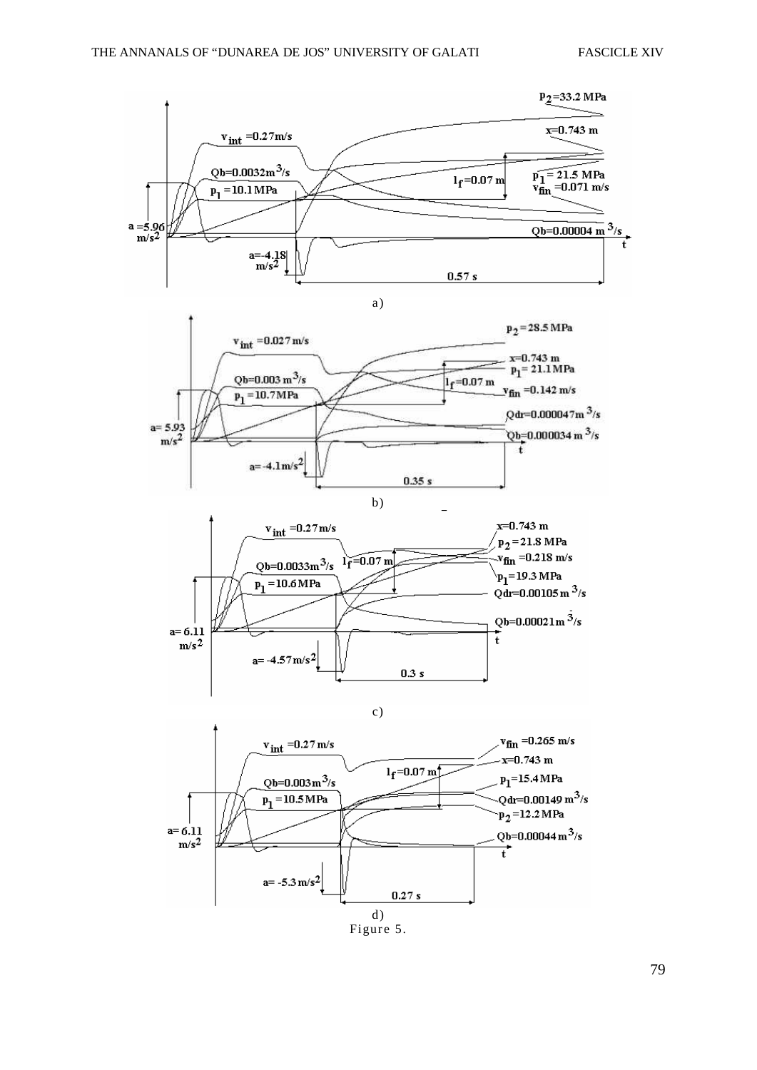

d) Figure 5.

79